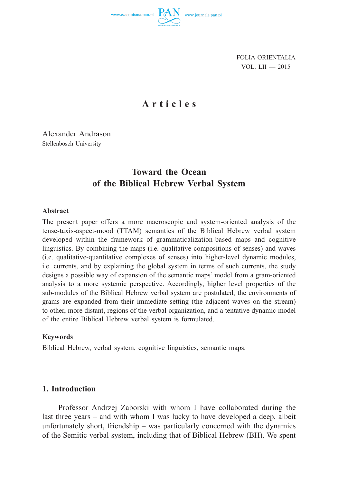

FOLIA ORIENTALIA VOL. LII — 2015

# **Articles**

Alexander Andrason Stellenbosch University

# **Toward the Ocean of the Biblical Hebrew Verbal System**

# **Abstract**

The present paper offers a more macroscopic and system-oriented analysis of the tense-taxis-aspect-mood (TTAM) semantics of the Biblical Hebrew verbal system developed within the framework of grammaticalization-based maps and cognitive linguistics. By combining the maps (i.e. qualitative compositions of senses) and waves (i.e. qualitative-quantitative complexes of senses) into higher-level dynamic modules, i.e. currents, and by explaining the global system in terms of such currents, the study designs a possible way of expansion of the semantic maps' model from a gram-oriented analysis to a more systemic perspective. Accordingly, higher level properties of the sub-modules of the Biblical Hebrew verbal system are postulated, the environments of grams are expanded from their immediate setting (the adjacent waves on the stream) to other, more distant, regions of the verbal organization, and a tentative dynamic model of the entire Biblical Hebrew verbal system is formulated.

### **Keywords**

Biblical Hebrew, verbal system, cognitive linguistics, semantic maps.

# **1. Introduction**

Professor Andrzej Zaborski with whom I have collaborated during the last three years – and with whom I was lucky to have developed a deep, albeit unfortunately short, friendship – was particularly concerned with the dynamics of the Semitic verbal system, including that of Biblical Hebrew (BH). We spent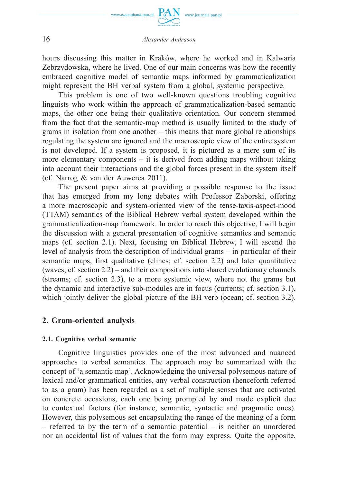

hours discussing this matter in Kraków, where he worked and in Kalwaria Zebrzydowska, where he lived. One of our main concerns was how the recently embraced cognitive model of semantic maps informed by grammaticalization might represent the BH verbal system from a global, systemic perspective.

This problem is one of two well-known questions troubling cognitive linguists who work within the approach of grammaticalization-based semantic maps, the other one being their qualitative orientation. Our concern stemmed from the fact that the semantic-map method is usually limited to the study of grams in isolation from one another – this means that more global relationships regulating the system are ignored and the macroscopic view of the entire system is not developed. If a system is proposed, it is pictured as a mere sum of its more elementary components – it is derived from adding maps without taking into account their interactions and the global forces present in the system itself (cf. Narrog & van der Auwerea 2011).

The present paper aims at providing a possible response to the issue that has emerged from my long debates with Professor Zaborski, offering a more macroscopic and system-oriented view of the tense-taxis-aspect-mood (TTAM) semantics of the Biblical Hebrew verbal system developed within the grammaticalization-map framework. In order to reach this objective, I will begin the discussion with a general presentation of cognitive semantics and semantic maps (cf. section 2.1). Next, focusing on Biblical Hebrew, I will ascend the level of analysis from the description of individual grams – in particular of their semantic maps, first qualitative (clines; cf. section 2.2) and later quantitative (waves; cf. section 2.2) – and their compositions into shared evolutionary channels (streams; cf. section 2.3), to a more systemic view, where not the grams but the dynamic and interactive sub-modules are in focus (currents; cf. section 3.1), which jointly deliver the global picture of the BH verb (ocean; cf. section 3.2).

# **2. Gram-oriented analysis**

### **2.1. Cognitive verbal semantic**

Cognitive linguistics provides one of the most advanced and nuanced approaches to verbal semantics. The approach may be summarized with the concept of 'a semantic map'. Acknowledging the universal polysemous nature of lexical and/or grammatical entities, any verbal construction (henceforth referred to as a gram) has been regarded as a set of multiple senses that are activated on concrete occasions, each one being prompted by and made explicit due to contextual factors (for instance, semantic, syntactic and pragmatic ones). However, this polysemous set encapsulating the range of the meaning of a form – referred to by the term of a semantic potential – is neither an unordered nor an accidental list of values that the form may express. Quite the opposite,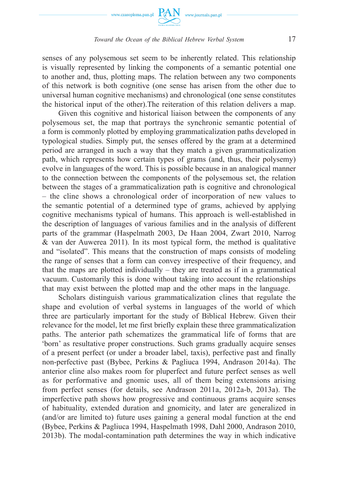

senses of any polysemous set seem to be inherently related. This relationship is visually represented by linking the components of a semantic potential one to another and, thus, plotting maps. The relation between any two components of this network is both cognitive (one sense has arisen from the other due to universal human cognitive mechanisms) and chronological (one sense constitutes the historical input of the other).The reiteration of this relation delivers a map.

Given this cognitive and historical liaison between the components of any polysemous set, the map that portrays the synchronic semantic potential of a form is commonly plotted by employing grammaticalization paths developed in typological studies. Simply put, the senses offered by the gram at a determined period are arranged in such a way that they match a given grammaticalization path, which represents how certain types of grams (and, thus, their polysemy) evolve in languages of the word. This is possible because in an analogical manner to the connection between the components of the polysemous set, the relation between the stages of a grammaticalization path is cognitive and chronological – the cline shows a chronological order of incorporation of new values to the semantic potential of a determined type of grams, achieved by applying cognitive mechanisms typical of humans. This approach is well-established in the description of languages of various families and in the analysis of different parts of the grammar (Haspelmath 2003, De Haan 2004, Zwart 2010, Narrog & van der Auwerea 2011). In its most typical form, the method is qualitative and "isolated". This means that the construction of maps consists of modeling the range of senses that a form can convey irrespective of their frequency, and that the maps are plotted individually – they are treated as if in a grammatical vacuum. Customarily this is done without taking into account the relationships that may exist between the plotted map and the other maps in the language.

Scholars distinguish various grammaticalization clines that regulate the shape and evolution of verbal systems in languages of the world of which three are particularly important for the study of Biblical Hebrew. Given their relevance for the model, let me first briefly explain these three grammaticalization paths. The anterior path schematizes the grammatical life of forms that are 'born' as resultative proper constructions. Such grams gradually acquire senses of a present perfect (or under a broader label, taxis), perfective past and finally non-perfective past (Bybee, Perkins & Pagliuca 1994, Andrason 2014a). The anterior cline also makes room for pluperfect and future perfect senses as well as for performative and gnomic uses, all of them being extensions arising from perfect senses (for details, see Andrason 2011a, 2012a-b, 2013a). The imperfective path shows how progressive and continuous grams acquire senses of habituality, extended duration and gnomicity, and later are generalized in (and/or are limited to) future uses gaining a general modal function at the end (Bybee, Perkins & Pagliuca 1994, Haspelmath 1998, Dahl 2000, Andrason 2010, 2013b). The modal-contamination path determines the way in which indicative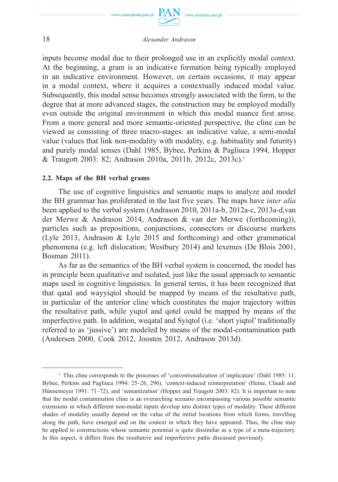

inputs become modal due to their prolonged use in an explicitly modal context. At the beginning, a gram is an indicative formation being typically employed in an indicative environment. However, on certain occasions, it may appear in a modal context, where it acquires a contextually induced modal value. Subsequently, this modal sense becomes strongly associated with the form, to the degree that at more advanced stages, the construction may be employed modally even outside the original environment in which this modal nuance first arose. From a more general and more semantic-oriented perspective, the cline can be viewed as consisting of three macro-stages: an indicative value, a semi-modal value (values that link non-modality with modality, e.g. habituality and futurity) and purely modal senses (Dahl 1985, Bybee, Perkins & Pagliuca 1994, Hopper & Traugott 2003: 82; Andrason 2010a, 2011b, 2012c, 2013c).1

### **2.2. Maps of the BH verbal grams**

The use of cognitive linguistics and semantic maps to analyze and model the BH grammar has proliferated in the last five years. The maps have *inter alia* been applied to the verbal system (Andrason 2010, 2011a-b, 2012a-c, 2013a-d,van der Merwe & Andrason 2014, Andrason & van der Merwe (forthcoming)), particles such as prepositions, conjunctions, connectors or discourse markers (Lyle 2013, Andrason & Lyle 2015 and forthcoming) and other grammatical phenomena (e.g. left dislocation; Westbury 2014) and lexemes (De Blois 2001, Bosman 2011).

As far as the semantics of the BH verbal system is concerned, the model has in principle been qualitative and isolated, just like the usual approach to semantic maps used in cognitive linguistics. In general terms, it has been recognized that that qatal and wayyiqtol should be mapped by means of the resultative path, in particular of the anterior cline which constitutes the major trajectory within the resultative path, while yiqtol and qotel could be mapped by means of the imperfective path. In addition, weqatal and Syiqtol (i.e. 'short yiqtol' traditionally referred to as 'jussive') are modeled by means of the modal-contamination path (Andersen 2000, Cook 2012, Joosten 2012, Andrason 2013d).

<sup>&</sup>lt;sup>1</sup> This cline corresponds to the processes of 'conventionalization of implicature' (Dahl 1985: 11; Bybee, Perkins and Pagliuca 1994: 25–26, 296), 'context-induced reinterpretation' (Heine, Claudi and Hünnemeyer 1991: 71–72), and 'semantization' (Hopper and Traugott 2003: 82). It is important to note that the modal contamination cline is an overarching scenario encompassing various possible semantic extensions in which different non-modal inputs develop into distinct types of modality. These different shades of modality usually depend on the value of the initial locutions from which forms, travelling along the path, have emerged and on the context in which they have appeared. Thus, the cline may be applied to constructions whose semantic potential is quite dissimilar as a type of a meta-trajectory. In this aspect, it differs from the resultative and imperfective paths discussed previously.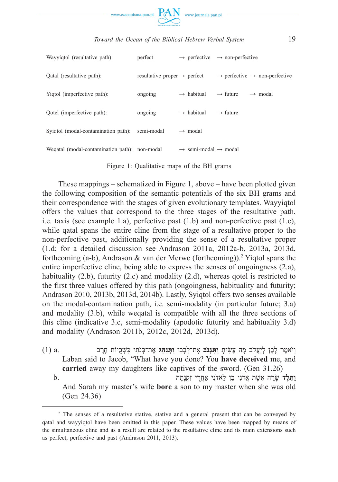

| Wayyiqtol (resultative path):                 | perfect                                  | $\rightarrow$ perfective                     | $\rightarrow$ non-perfective                          |
|-----------------------------------------------|------------------------------------------|----------------------------------------------|-------------------------------------------------------|
| Qatal (resultative path):                     | resultative proper $\rightarrow$ perfect |                                              | $\rightarrow$ perfective $\rightarrow$ non-perfective |
| Yigtol (imperfective path):                   | ongoing                                  | $\rightarrow$ habitual                       | $\rightarrow$ future<br>$\rightarrow$ modal           |
| Qotel (imperfective path):                    | ongoing                                  | $\rightarrow$ habitual                       | $\rightarrow$ future                                  |
| Syigtol (modal-contamination path):           | semi-modal                               | $\rightarrow$ modal                          |                                                       |
| Wegatal (modal-contamination path): non-modal |                                          | $\rightarrow$ semi-modal $\rightarrow$ modal |                                                       |

Figure 1: Qualitative maps of the BH grams

These mappings – schematized in Figure 1, above – have been plotted given the following composition of the semantic potentials of the six BH grams and their correspondence with the stages of given evolutionary templates. Wayyiqtol offers the values that correspond to the three stages of the resultative path, i.e. taxis (see example 1.a), perfective past (1.b) and non-perfective past (1.c), while qatal spans the entire cline from the stage of a resultative proper to the non-perfective past, additionally providing the sense of a resultative proper (1.d; for a detailed discussion see Andrason 2011a, 2012a-b, 2013a, 2013d, forthcoming (a-b), Andrason & van der Merwe (forthcoming)).2 Yiqtol spans the entire imperfective cline, being able to express the senses of ongoingness (2.a), habituality (2.b), futurity (2.c) and modality (2.d), whereas gotel is restricted to the first three values offered by this path (ongoingness, habituality and futurity; Andrason 2010, 2013b, 2013d, 2014b). Lastly, Syiqtol offers two senses available on the modal-contamination path, i.e. semi-modality (in particular future; 3.a) and modality (3.b), while weqatal is compatible with all the three sections of this cline (indicative 3.c, semi-modality (apodotic futurity and habituality 3.d) and modality (Andrason 2011b, 2012c, 2012d, 2013d).

ַו ֹיּא ֶמר ָל ָבן ְליֲַע ֹקב ֶמה ָע ִשׂי ָת **ַו ִתּ ְג ֹנב** ֶאת־ ְל ָב ִבי **ַו ְתַּנ ֵהג** ֶאת־ ְבּנַֹתי ִכּ ְשֻׁביוֹת ָחֶרב .a) 1( Laban said to Jacob, "What have you done? You **have deceived** me, and **carried** away my daughters like captives of the sword. (Gen 31.26) **וַתֵּלֵד** שַׂרַה אֲשֵׁת אֲדֹנִי בֵן לַאדֹנִי אַחֲרִי זִקְנָתָה

 And Sarah my master's wife **bore** a son to my master when she was old (Gen 24.36)

<sup>&</sup>lt;sup>2</sup> The senses of a resultative stative, stative and a general present that can be conveyed by qatal and wayyiqtol have been omitted in this paper. These values have been mapped by means of the simultaneous cline and as a result are related to the resultative cline and its main extensions such as perfect, perfective and past (Andrason 2011, 2013).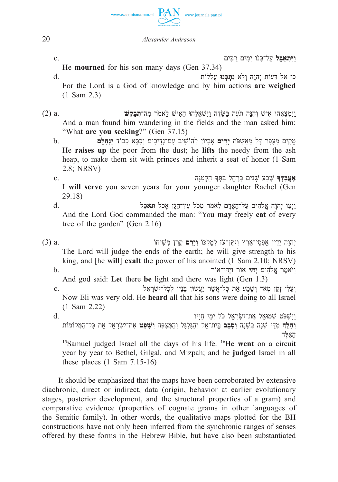

**ַויִּ ְתאַ ֵבּל** ַעל־ ְבּ ֹנו יָ ִמים ַר ִבּים .c

He **mourned** for his son many days (Gen 37.34)

ִכּי ֵאל ֵדּעוֹת ְיהָוה ְולׂא **ִנ ְת ְכּנוּ** ֲע ִללוֹת .d For the Lord is a God of knowledge and by him actions **are weighed** (1 Sam 2.3)

ַויִּ ְמ ָצ ֵאהוּ ִאישׁ ְו ִה ֵנּה תֶֹעה ַבּ ָ שֶּׂדה ַויִּ ְשׁאָ ֵלהוּ ָה ִאישׁ ֵלא ֹמר ַמה־ **ְתּ ַב ֵקּשׁ** .a) 2( And a man found him wandering in the fields and the man asked him: "What **are you seeking**?" (Gen 37.15)

ֵמ ִקים ֵמ ָע ָפר ָדּל ֵמאַ ְשׁ ֹפּת **יָ ִרים** ֶא ְביוֹן ְלהוֹ ִשׁיב ִעם־נְ ִדי ִבים ְו ִכ ֵסּא ָכבוֹד **יַ ְנ ִח ֵלם** .b He **raises up** the poor from the dust; he **lifts** the needy from the ash heap, to make them sit with princes and inherit a seat of honor (1 Sam 2.8; NRSV)

**ֶאֱע ָב ְדָך** ֶשׁ ַבע ָשׁ ִנים ְבָּר ֵחל ִבּ ְתָּך ַה ְקּ ַט ָנּה .c I **will serve** you seven years for your younger daughter Rachel (Gen 29.18)

ַויְ ַצו ְיהָוה ֱאֹל ִהים ַעל־ ָהאָָדם ֵלא ֹמר ִמ ֹכּל ֵעץ־ ַה ָגּן אָ ֹכל **ֹתּא ֵכל** .d And the Lord God commanded the man: "You **may** freely **eat** of every tree of the garden" (Gen 2.16)

יִהְוָה יַדִין אַפְסִי־אֲרֶץ וְיִתֵּן־עֹז לְמַלְכּוֹ **וְיַרֵּם** קָרֵן מְשִׁיחוֹ .a. 3) 3(3) The Lord will judge the ends of the earth; he will give strength to his king, and [he **will**] **exalt** the power of his anointed (1 Sam 2.10; NRSV) ַו ֹיּא ֶמר ֱאֹל ִהים **יְ ִהי** אוֹר ַויְ ִהי־אוֹר .b And god said: **Let** there **be** light and there was light (Gen 1.3) **ו** וַעֲלִי זָקֵן מְאֹד וְשָׁמַע אֵת כָּל־אֱשֶׁר יַעֲשׂוּן בָּנָיו לְכָל־יִשְׂרָאֵל Now Eli was very old. He **heard** all that his sons were doing to all Israel (1 Sam 2.22) ַויִּ ְשׁ ֹפּט ְשׁמוּ ֵאל ֶאת־יִ ְשָׂר ֵאל ֹכּל יְ ֵמי ַחָיּיו .d **וְהַלַּדְּ** מְדֵּי שָׁנַה בְּשֵׁנָה **וְסַבָּב** בֵּית־אֶל וְהַגִּלְגַּל וְהַמִּצְפָּה **וְשַׁפְּט** אֶת־יִשְׂרָאֵל אֶת כַּל־הַמְּקוֹמוֹת לּהֶ אֵ הָ

 15Samuel judged Israel all the days of his life. 16He **went** on a circuit year by year to Bethel, Gilgal, and Mizpah; and he **judged** Israel in all these places  $(1 \text{ Sam } 7.15-16)$ 

It should be emphasized that the maps have been corroborated by extensive diachronic, direct or indirect, data (origin, behavior at earlier evolutionary stages, posterior development, and the structural properties of a gram) and comparative evidence (properties of cognate grams in other languages of the Semitic family). In other words, the qualitative maps plotted for the BH constructions have not only been inferred from the synchronic ranges of senses offered by these forms in the Hebrew Bible, but have also been substantiated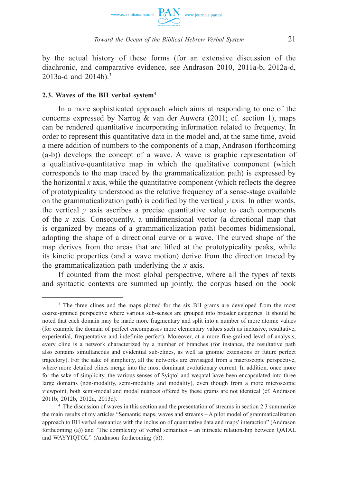

by the actual history of these forms (for an extensive discussion of the diachronic, and comparative evidence, see Andrason 2010, 2011a-b, 2012a-d, 2013a-d and 2014b).<sup>3</sup>

# **2.3. Waves of the BH verbal system4**

In a more sophisticated approach which aims at responding to one of the concerns expressed by Narrog  $\&$  van der Auwera (2011; cf. section 1), maps can be rendered quantitative incorporating information related to frequency. In order to represent this quantitative data in the model and, at the same time, avoid a mere addition of numbers to the components of a map, Andrason (forthcoming (a-b)) develops the concept of a wave. A wave is graphic representation of a qualitative-quantitative map in which the qualitative component (which corresponds to the map traced by the grammaticalization path) is expressed by the horizontal *x* axis, while the quantitative component (which reflects the degree of prototypicality understood as the relative frequency of a sense-stage available on the grammaticalization path) is codified by the vertical *y* axis. In other words, the vertical  $\gamma$  axis ascribes a precise quantitative value to each components of the *x* axis. Consequently, a unidimensional vector (a directional map that is organized by means of a grammaticalization path) becomes bidimensional, adopting the shape of a directional curve or a wave. The curved shape of the map derives from the areas that are lifted at the prototypicality peaks, while its kinetic properties (and a wave motion) derive from the direction traced by the grammaticalization path underlying the *x* axis.

If counted from the most global perspective, where all the types of texts and syntactic contexts are summed up jointly, the corpus based on the book

<sup>&</sup>lt;sup>3</sup> The three clines and the maps plotted for the six BH grams are developed from the most coarse-grained perspective where various sub-senses are grouped into broader categories. It should be noted that each domain may be made more fragmentary and split into a number of more atomic values (for example the domain of perfect encompasses more elementary values such as inclusive, resultative, experiential, frequentative and indefinite perfect). Moreover, at a more fine-grained level of analysis, every cline is a network characterized by a number of branches (for instance, the resultative path also contains simultaneous and evidential sub-clines, as well as gnomic extensions or future perfect trajectory). For the sake of simplicity, all the networks are envisaged from a macroscopic perspective, where more detailed clines merge into the most dominant evolutionary current. In addition, once more for the sake of simplicity, the various senses of Syiqtol and weqatal have been encapsulated into three large domains (non-modality, semi-modality and modality), even though from a more microscopic viewpoint, both semi-modal and modal nuances offered by these grams are not identical (cf. Andrason 2011b, 2012b, 2012d, 2013d).

<sup>4</sup> The discussion of waves in this section and the presentation of streams in section 2.3 summarize the main results of my articles "Semantic maps, waves and streams – A pilot model of grammaticalization approach to BH verbal semantics with the inclusion of quantitative data and maps' interaction" (Andrason forthcoming (a)) and "The complexity of verbal semantics – an intricate relationship between QATAL and WAYYIQTOL" (Andrason forthcoming (b)).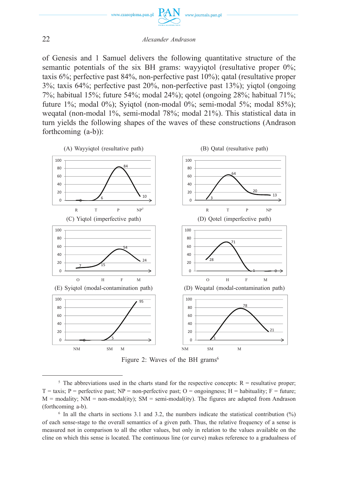

of Genesis and 1 Samuel delivers the following quantitative structure of the semantic potentials of the six BH grams: wayyiqtol (resultative proper 0%; taxis 6%; perfective past 84%, non-perfective past 10%); qatal (resultative proper 3%; taxis 64%; perfective past 20%, non-perfective past 13%); yiqtol (ongoing 7%; habitual 15%; future 54%; modal 24%); qotel (ongoing 28%; habitual 71%; future 1%; modal 0%); Syiqtol (non-modal 0%; semi-modal 5%; modal 85%); weqatal (non-modal 1%, semi-modal 78%; modal 21%). This statistical data in turn yields the following shapes of the waves of these constructions (Andrason forthcoming (a-b)):





<sup>&</sup>lt;sup>5</sup> The abbreviations used in the charts stand for the respective concepts:  $R =$  resultative proper;  $T = \text{taxis}$ ; P = perfective past; NP = non-perfective past; O = ongoingness; H = habituality; F = future;  $M =$  modality;  $NM =$  non-modal(ity);  $SM =$  semi-modal(ity). The figures are adapted from Andrason (forthcoming a-b).

 $6$  In all the charts in sections 3.1 and 3.2, the numbers indicate the statistical contribution  $(%)$ of each sense-stage to the overall semantics of a given path. Thus, the relative frequency of a sense is measured not in comparison to all the other values, but only in relation to the values available on the cline on which this sense is located. The continuous line (or curve) makes reference to a gradualness of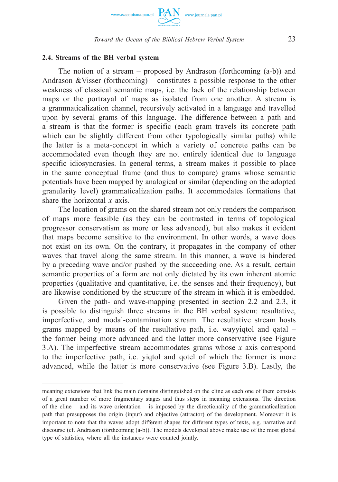

# **2.4. Streams of the BH verbal system**

The notion of a stream – proposed by Andrason (forthcoming (a-b)) and Andrason &Visser (forthcoming) – constitutes a possible response to the other weakness of classical semantic maps, i.e. the lack of the relationship between maps or the portrayal of maps as isolated from one another. A stream is a grammaticalization channel, recursively activated in a language and travelled upon by several grams of this language. The difference between a path and a stream is that the former is specific (each gram travels its concrete path which can be slightly different from other typologically similar paths) while the latter is a meta-concept in which a variety of concrete paths can be accommodated even though they are not entirely identical due to language specific idiosyncrasies. In general terms, a stream makes it possible to place in the same conceptual frame (and thus to compare) grams whose semantic potentials have been mapped by analogical or similar (depending on the adopted granularity level) grammaticalization paths. It accommodates formations that share the horizontal *x* axis.

The location of grams on the shared stream not only renders the comparison of maps more feasible (as they can be contrasted in terms of topological progressor conservatism as more or less advanced), but also makes it evident that maps become sensitive to the environment. In other words, a wave does not exist on its own. On the contrary, it propagates in the company of other waves that travel along the same stream. In this manner, a wave is hindered by a preceding wave and/or pushed by the succeeding one. As a result, certain semantic properties of a form are not only dictated by its own inherent atomic properties (qualitative and quantitative, i.e. the senses and their frequency), but are likewise conditioned by the structure of the stream in which it is embedded.

Given the path- and wave-mapping presented in section 2.2 and 2.3, it is possible to distinguish three streams in the BH verbal system: resultative, imperfective, and modal-contamination stream. The resultative stream hosts grams mapped by means of the resultative path, i.e. wayyiqtol and qatal – the former being more advanced and the latter more conservative (see Figure 3.A). The imperfective stream accommodates grams whose *x* axis correspond to the imperfective path, i.e. yiqtol and qotel of which the former is more advanced, while the latter is more conservative (see Figure 3.B). Lastly, the

meaning extensions that link the main domains distinguished on the cline as each one of them consists of a great number of more fragmentary stages and thus steps in meaning extensions. The direction of the cline – and its wave orientation – is imposed by the directionality of the grammaticalization path that presupposes the origin (input) and objective (attractor) of the development. Moreover it is important to note that the waves adopt different shapes for different types of texts, e.g. narrative and discourse (cf. Andrason (forthcoming (a-b)). The models developed above make use of the most global type of statistics, where all the instances were counted jointly.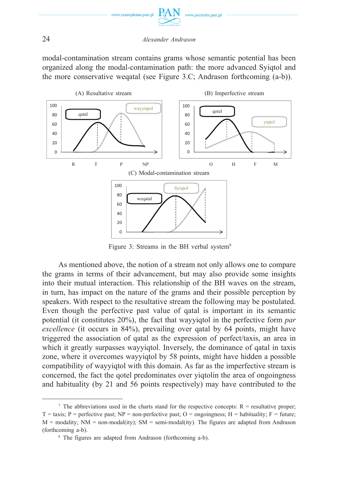

modal-contamination stream contains grams whose semantic potential has been organized along the modal-contamination path: the more advanced Syiqtol and the more conservative weqatal (see Figure 3.C; Andrason forthcoming (a-b)).



Figure 3: Streams in the BH verbal system $8$ 

As mentioned above, the notion of a stream not only allows one to compare the grams in terms of their advancement, but may also provide some insights into their mutual interaction. This relationship of the BH waves on the stream, in turn, has impact on the nature of the grams and their possible perception by speakers. With respect to the resultative stream the following may be postulated. Even though the perfective past value of qatal is important in its semantic potential (it constitutes 20%), the fact that wayyiqtol in the perfective form *par excellence* (it occurs in 84%), prevailing over qatal by 64 points, might have triggered the association of qatal as the expression of perfect/taxis, an area in which it greatly surpasses wayyiqtol. Inversely, the dominance of qatal in taxis zone, where it overcomes wayyiqtol by 58 points, might have hidden a possible compatibility of wayyiqtol with this domain. As far as the imperfective stream is concerned, the fact the qotel predominates over yiqtolin the area of ongoingness and habituality (by 21 and 56 points respectively) may have contributed to the

<sup>&</sup>lt;sup>7</sup> The abbreviations used in the charts stand for the respective concepts:  $R =$  resultative proper;  $T = \text{taxis};$  P = perfective past; NP = non-perfective past; O = ongoingness; H = habituality; F = future;  $M =$  modality; NM = non-modal(ity); SM = semi-modal(ity). The figures are adapted from Andrason (forthcoming a-b).

<sup>8</sup> The figures are adapted from Andrason (forthcoming a-b).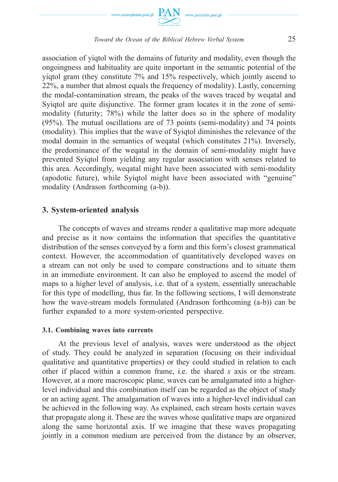



association of yiqtol with the domains of futurity and modality, even though the ongoingness and habituality are quite important in the semantic potential of the yiqtol gram (they constitute 7% and 15% respectively, which jointly ascend to 22%, a number that almost equals the frequency of modality). Lastly, concerning the modal-contamination stream, the peaks of the waves traced by weqatal and Syigtol are quite disjunctive. The former gram locates it in the zone of semimodality (futurity; 78%) while the latter does so in the sphere of modality (95%). The mutual oscillations are of 73 points (semi-modality) and 74 points (modality). This implies that the wave of Syiqtol diminishes the relevance of the modal domain in the semantics of weqatal (which constitutes 21%). Inversely, the predominance of the weqatal in the domain of semi-modality might have prevented Syiqtol from yielding any regular association with senses related to this area. Accordingly, weqatal might have been associated with semi-modality (apodotic future), while Syiqtol might have been associated with "genuine" modality (Andrason forthcoming (a-b)).

# **3. System-oriented analysis**

The concepts of waves and streams render a qualitative map more adequate and precise as it now contains the information that specifies the quantitative distribution of the senses conveyed by a form and this form's closest grammatical context. However, the accommodation of quantitatively developed waves on a stream can not only be used to compare constructions and to situate them in an immediate environment. It can also be employed to ascend the model of maps to a higher level of analysis, i.e. that of a system, essentially unreachable for this type of modelling, thus far. In the following sections, I will demonstrate how the wave-stream models formulated (Andrason forthcoming (a-b)) can be further expanded to a more system-oriented perspective.

### **3.1. Combining waves into currents**

At the previous level of analysis, waves were understood as the object of study. They could be analyzed in separation (focusing on their individual qualitative and quantitative properties) or they could studied in relation to each other if placed within a common frame, i.e. the shared *x* axis or the stream. However, at a more macroscopic plane, waves can be amalgamated into a higherlevel individual and this combination itself can be regarded as the object of study or an acting agent. The amalgamation of waves into a higher-level individual can be achieved in the following way. As explained, each stream hosts certain waves that propagate along it. These are the waves whose qualitative maps are organized along the same horizontal axis. If we imagine that these waves propagating jointly in a common medium are perceived from the distance by an observer,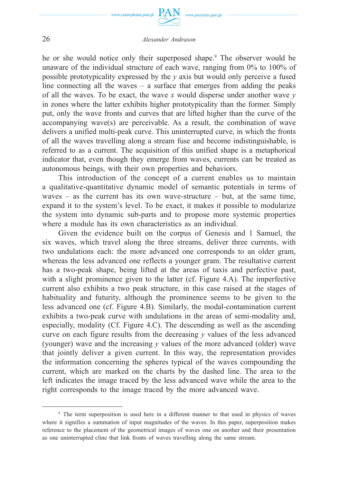

www.journals.pan.pl

he or she would notice only their superposed shape.<sup>9</sup> The observer would be unaware of the individual structure of each wave, ranging from 0% to 100% of possible prototypicality expressed by the *y* axis but would only perceive a fused line connecting all the waves  $-$  a surface that emerges from adding the peaks of all the waves. To be exact, the wave *x* would disperse under another wave *y*  in zones where the latter exhibits higher prototypicality than the former. Simply put, only the wave fronts and curves that are lifted higher than the curve of the accompanying wave(s) are perceivable. As a result, the combination of wave delivers a unified multi-peak curve. This uninterrupted curve, in which the fronts of all the waves travelling along a stream fuse and become indistinguishable, is referred to as a current. The acquisition of this unified shape is a metaphorical indicator that, even though they emerge from waves, currents can be treated as autonomous beings, with their own properties and behaviors.

This introduction of the concept of a current enables us to maintain a qualitative-quantitative dynamic model of semantic potentials in terms of waves – as the current has its own wave-structure – but, at the same time, expand it to the system's level. To be exact, it makes it possible to modularize the system into dynamic sub-parts and to propose more systemic properties where a module has its own characteristics as an individual.

Given the evidence built on the corpus of Genesis and 1 Samuel, the six waves, which travel along the three streams, deliver three currents, with two undulations each: the more advanced one corresponds to an older gram, whereas the less advanced one reflects a younger gram. The resultative current has a two-peak shape, being lifted at the areas of taxis and perfective past, with a slight prominence given to the latter (cf. Figure 4.A). The imperfective current also exhibits a two peak structure, in this case raised at the stages of habituality and futurity, although the prominence seems to be given to the less advanced one (cf. Figure 4.B). Similarly, the modal-contamination current exhibits a two-peak curve with undulations in the areas of semi-modality and, especially, modality (Cf. Figure 4.C). The descending as well as the ascending curve on each figure results from the decreasing *y* values of the less advanced (younger) wave and the increasing *y* values of the more advanced (older) wave that jointly deliver a given current. In this way, the representation provides the information concerning the spheres typical of the waves compounding the current, which are marked on the charts by the dashed line. The area to the left indicates the image traced by the less advanced wave while the area to the right corresponds to the image traced by the more advanced wave.

<sup>9</sup> The term superposition is used here in a different manner to that used in physics of waves where it signifies a summation of input magnitudes of the waves. In this paper, superposition makes reference to the placement of the geometrical images of waves one on another and their presentation as one uninterrupted cline that link fronts of waves travelling along the same stream.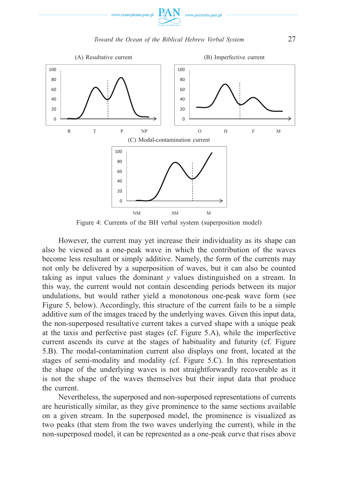



Figure 4: Currents of the BH verbal system (superposition model)

However, the current may yet increase their individuality as its shape can also be viewed as a one-peak wave in which the contribution of the waves become less resultant or simply additive. Namely, the form of the currents may not only be delivered by a superposition of waves, but it can also be counted taking as input values the dominant *y* values distinguished on a stream. In this way, the current would not contain descending periods between its major undulations, but would rather yield a monotonous one-peak wave form (see Figure 5, below). Accordingly, this structure of the current fails to be a simple additive sum of the images traced by the underlying waves. Given this input data, the non-superposed resultative current takes a curved shape with a unique peak at the taxis and perfective past stages (cf. Figure 5.A), while the imperfective current ascends its curve at the stages of habituality and futurity (cf. Figure 5.B). The modal-contamination current also displays one front, located at the stages of semi-modality and modality (cf. Figure 5.C). In this representation the shape of the underlying waves is not straightforwardly recoverable as it is not the shape of the waves themselves but their input data that produce the current.

Nevertheless, the superposed and non-superposed representations of currents are heuristically similar, as they give prominence to the same sections available on a given stream. In the superposed model, the prominence is visualized as two peaks (that stem from the two waves underlying the current), while in the non-superposed model, it can be represented as a one-peak curve that rises above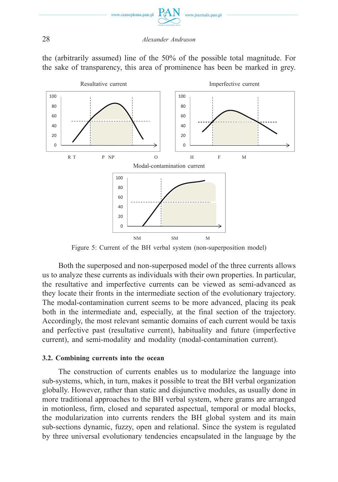

the (arbitrarily assumed) line of the 50% of the possible total magnitude. For the sake of transparency, this area of prominence has been be marked in grey.



Figure 5: Current of the BH verbal system (non-superposition model)

Both the superposed and non-superposed model of the three currents allows us to analyze these currents as individuals with their own properties. In particular, the resultative and imperfective currents can be viewed as semi-advanced as they locate their fronts in the intermediate section of the evolutionary trajectory. The modal-contamination current seems to be more advanced, placing its peak both in the intermediate and, especially, at the final section of the trajectory. Accordingly, the most relevant semantic domains of each current would be taxis and perfective past (resultative current), habituality and future (imperfective current), and semi-modality and modality (modal-contamination current).

# **3.2. Combining currents into the ocean**

The construction of currents enables us to modularize the language into sub-systems, which, in turn, makes it possible to treat the BH verbal organization globally. However, rather than static and disjunctive modules, as usually done in more traditional approaches to the BH verbal system, where grams are arranged in motionless, firm, closed and separated aspectual, temporal or modal blocks, the modularization into currents renders the BH global system and its main sub-sections dynamic, fuzzy, open and relational. Since the system is regulated by three universal evolutionary tendencies encapsulated in the language by the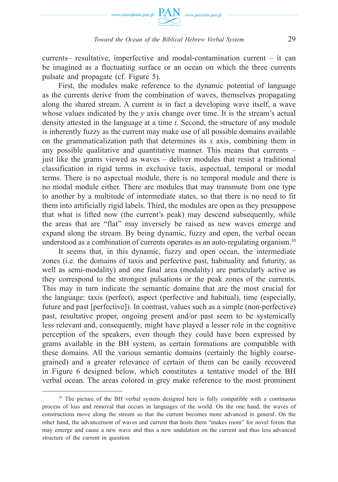

currents– resultative, imperfective and modal-contamination current – it can be imagined as a fluctuating surface or an ocean on which the three currents pulsate and propagate (cf. Figure 5).

First, the modules make reference to the dynamic potential of language as the currents derive from the combination of waves, themselves propagating along the shared stream. A current is in fact a developing wave itself, a wave whose values indicated by the *y* axis change over time. It is the stream's actual density attested in the language at a time *t*. Second, the structure of any module is inherently fuzzy as the current may make use of all possible domains available on the grammaticalization path that determines its *x* axis, combining them in any possible qualitative and quantitative manner. This means that currents – just like the grams viewed as waves – deliver modules that resist a traditional classification in rigid terms in exclusive taxis, aspectual, temporal or modal terms. There is no aspectual module, there is no temporal module and there is no modal module either. There are modules that may transmute from one type to another by a multitude of intermediate states, so that there is no need to fit them into artificially rigid labels. Third, the modules are open as they presuppose that what is lifted now (the current's peak) may descend subsequently, while the areas that are "flat" may inversely be raised as new waves emerge and expand along the stream. By being dynamic, fuzzy and open, the verbal ocean understood as a combination of currents operates as an auto-regulating organism.<sup>10</sup>

It seems that, in this dynamic, fuzzy and open ocean, the intermediate zones (i.e. the domains of taxis and perfective past, habituality and futurity, as well as semi-modality) and one final area (modality) are particularly active as they correspond to the strongest pulsations or the peak zones of the currents. This may in turn indicate the semantic domains that are the most crucial for the language: taxis (perfect), aspect (perfective and habitual), time (especially, future and past [perfective]). In contrast, values such as a simple (non-perfective) past, resultative proper, ongoing present and/or past seem to be systemically less relevant and, consequently, might have played a lesser role in the cognitive perception of the speakers, even though they could have been expressed by grams available in the BH system, as certain formations are compatible with these domains. All the various semantic domains (certainly the highly coarsegrained) and a greater relevance of certain of them can be easily recovered in Figure 6 designed below, which constitutes a tentative model of the BH verbal ocean. The areas colored in grey make reference to the most prominent

<sup>&</sup>lt;sup>10</sup> The picture of the BH verbal system designed here is fully compatible with a continuous process of loss and removal that occurs in languages of the world. On the one hand, the waves of constructions move along the stream so that the current becomes more advanced in general. On the other hand, the advancement of waves and current that hosts them "makes room" for novel forms that may emerge and cause a new wave and thus a new undulation on the current and thus less advanced structure of the current in question.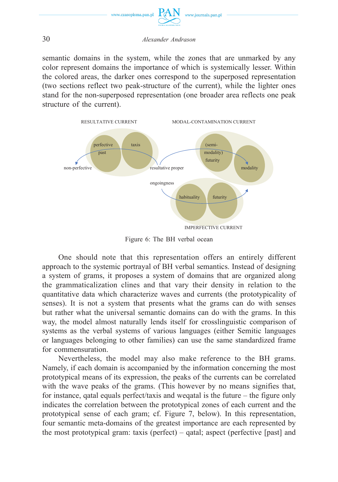

semantic domains in the system, while the zones that are unmarked by any color represent domains the importance of which is systemically lesser. Within the colored areas, the darker ones correspond to the superposed representation (two sections reflect two peak-structure of the current), while the lighter ones stand for the non-superposed representation (one broader area reflects one peak structure of the current).



Figure 6: The BH verbal ocean

One should note that this representation offers an entirely different approach to the systemic portrayal of BH verbal semantics. Instead of designing a system of grams, it proposes a system of domains that are organized along the grammaticalization clines and that vary their density in relation to the quantitative data which characterize waves and currents (the prototypicality of senses). It is not a system that presents what the grams can do with senses but rather what the universal semantic domains can do with the grams. In this way, the model almost naturally lends itself for crosslinguistic comparison of systems as the verbal systems of various languages (either Semitic languages or languages belonging to other families) can use the same standardized frame for commensuration.

Nevertheless, the model may also make reference to the BH grams. Namely, if each domain is accompanied by the information concerning the most prototypical means of its expression, the peaks of the currents can be correlated with the wave peaks of the grams. (This however by no means signifies that, for instance, qatal equals perfect/taxis and weqatal is the future – the figure only indicates the correlation between the prototypical zones of each current and the prototypical sense of each gram; cf. Figure 7, below). In this representation, four semantic meta-domains of the greatest importance are each represented by the most prototypical gram: taxis (perfect) – qatal; aspect (perfective [past] and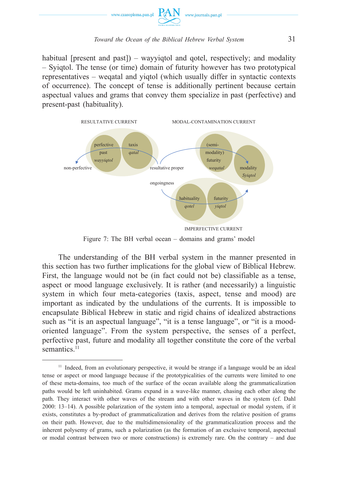

habitual [present and past]) – way vigited and gotel, respectively; and modality – Syiqtol. The tense (or time) domain of futurity however has two prototypical representatives – weqatal and yiqtol (which usually differ in syntactic contexts of occurrence). The concept of tense is additionally pertinent because certain aspectual values and grams that convey them specialize in past (perfective) and present-past (habituality).



Figure 7: The BH verbal ocean – domains and grams' model

The understanding of the BH verbal system in the manner presented in this section has two further implications for the global view of Biblical Hebrew. First, the language would not be (in fact could not be) classifiable as a tense, aspect or mood language exclusively. It is rather (and necessarily) a linguistic system in which four meta-categories (taxis, aspect, tense and mood) are important as indicated by the undulations of the currents. It is impossible to encapsulate Biblical Hebrew in static and rigid chains of idealized abstractions such as "it is an aspectual language", "it is a tense language", or "it is a moodoriented language". From the system perspective, the senses of a perfect, perfective past, future and modality all together constitute the core of the verbal semantics<sup>11</sup>

 $11$  Indeed, from an evolutionary perspective, it would be strange if a language would be an ideal tense or aspect or mood language because if the prototypicalities of the currents were limited to one of these meta-domains, too much of the surface of the ocean available along the grammaticalization paths would be left uninhabited. Grams expand in a wave-like manner, chasing each other along the path. They interact with other waves of the stream and with other waves in the system (cf. Dahl 2000: 13–14). A possible polarization of the system into a temporal, aspectual or modal system, if it exists, constitutes a by-product of grammaticalization and derives from the relative position of grams on their path. However, due to the multidimensionality of the grammaticalization process and the inherent polysemy of grams, such a polarization (as the formation of an exclusive temporal, aspectual or modal contrast between two or more constructions) is extremely rare. On the contrary – and due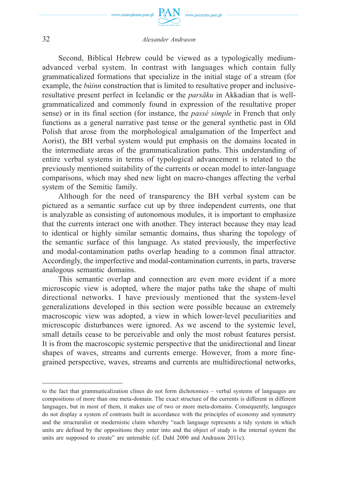

www.journals.pan.pl

Second, Biblical Hebrew could be viewed as a typologically mediumadvanced verbal system. In contrast with languages which contain fully grammaticalized formations that specialize in the initial stage of a stream (for example, the *búinn* construction that is limited to resultative proper and inclusiveresultative present perfect in Icelandic or the *parsāku* in Akkadian that is wellgrammaticalized and commonly found in expression of the resultative proper sense) or in its final section (for instance, the *passé simple* in French that only functions as a general narrative past tense or the general synthetic past in Old Polish that arose from the morphological amalgamation of the Imperfect and Aorist), the BH verbal system would put emphasis on the domains located in the intermediate areas of the grammaticalization paths. This understanding of entire verbal systems in terms of typological advancement is related to the previously mentioned suitability of the currents or ocean model to inter-language comparisons, which may shed new light on macro-changes affecting the verbal system of the Semitic family.

Although for the need of transparency the BH verbal system can be pictured as a semantic surface cut up by three independent currents, one that is analyzable as consisting of autonomous modules, it is important to emphasize that the currents interact one with another. They interact because they may lead to identical or highly similar semantic domains, thus sharing the topology of the semantic surface of this language. As stated previously, the imperfective and modal-contamination paths overlap heading to a common final attractor. Accordingly, the imperfective and modal-contamination currents, in parts, traverse analogous semantic domains.

This semantic overlap and connection are even more evident if a more microscopic view is adopted, where the major paths take the shape of multi directional networks. I have previously mentioned that the system-level generalizations developed in this section were possible because an extremely macroscopic view was adopted, a view in which lower-level peculiarities and microscopic disturbances were ignored. As we ascend to the systemic level, small details cease to be perceivable and only the most robust features persist. It is from the macroscopic systemic perspective that the unidirectional and linear shapes of waves, streams and currents emerge. However, from a more finegrained perspective, waves, streams and currents are multidirectional networks,

to the fact that grammaticalization clines do not form dichotomies – verbal systems of languages are compositions of more than one meta-domain. The exact structure of the currents is different in different languages, but in most of them, it makes use of two or more meta-domains. Consequently, languages do not display a system of contrasts built in accordance with the principles of economy and symmetry and the structuralist or modernistic claim whereby "each language represents a tidy system in which units are defined by the oppositions they enter into and the object of study is the internal system the units are supposed to create" are untenable (cf. Dahl 2000 and Andrason 2011c).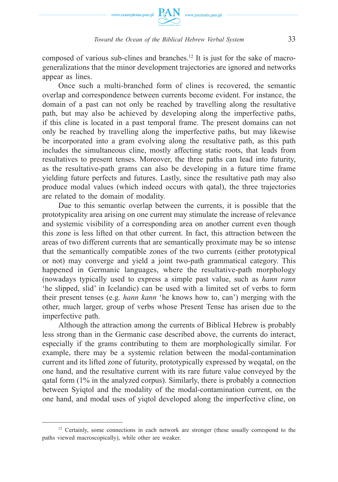

composed of various sub-clines and branches.<sup>12</sup> It is just for the sake of macrogeneralizations that the minor development trajectories are ignored and networks appear as lines.

Once such a multi-branched form of clines is recovered, the semantic overlap and correspondence between currents become evident. For instance, the domain of a past can not only be reached by travelling along the resultative path, but may also be achieved by developing along the imperfective paths, if this cline is located in a past temporal frame. The present domains can not only be reached by travelling along the imperfective paths, but may likewise be incorporated into a gram evolving along the resultative path, as this path includes the simultaneous cline, mostly affecting static roots, that leads from resultatives to present tenses. Moreover, the three paths can lead into futurity, as the resultative-path grams can also be developing in a future time frame yielding future perfects and futures. Lastly, since the resultative path may also produce modal values (which indeed occurs with qatal), the three trajectories are related to the domain of modality.

Due to this semantic overlap between the currents, it is possible that the prototypicality area arising on one current may stimulate the increase of relevance and systemic visibility of a corresponding area on another current even though this zone is less lifted on that other current. In fact, this attraction between the areas of two different currents that are semantically proximate may be so intense that the semantically compatible zones of the two currents (either prototypical or not) may converge and yield a joint two-path grammatical category. This happened in Germanic languages, where the resultative-path morphology (nowadays typically used to express a simple past value, such as *hann rann*  'he slipped, slid' in Icelandic) can be used with a limited set of verbs to form their present tenses (e.g. *hann kann* 'he knows how to, can') merging with the other, much larger, group of verbs whose Present Tense has arisen due to the imperfective path.

Although the attraction among the currents of Biblical Hebrew is probably less strong than in the Germanic case described above, the currents do interact, especially if the grams contributing to them are morphologically similar. For example, there may be a systemic relation between the modal-contamination current and its lifted zone of futurity, prototypically expressed by weqatal, on the one hand, and the resultative current with its rare future value conveyed by the qatal form (1% in the analyzed corpus). Similarly, there is probably a connection between Syiqtol and the modality of the modal-contamination current, on the one hand, and modal uses of yiqtol developed along the imperfective cline, on

<sup>&</sup>lt;sup>12</sup> Certainly, some connections in each network are stronger (these usually correspond to the paths viewed macroscopically), while other are weaker.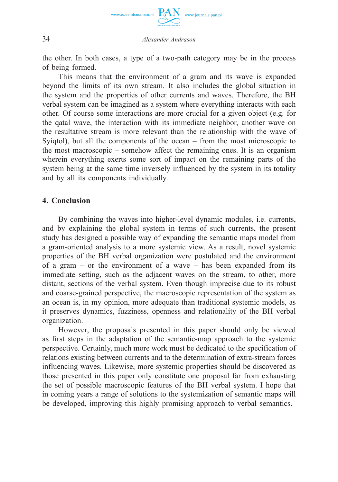

the other. In both cases, a type of a two-path category may be in the process of being formed.

This means that the environment of a gram and its wave is expanded beyond the limits of its own stream. It also includes the global situation in the system and the properties of other currents and waves. Therefore, the BH verbal system can be imagined as a system where everything interacts with each other. Of course some interactions are more crucial for a given object (e.g. for the qatal wave, the interaction with its immediate neighbor, another wave on the resultative stream is more relevant than the relationship with the wave of Syiqtol), but all the components of the ocean – from the most microscopic to the most macroscopic – somehow affect the remaining ones. It is an organism wherein everything exerts some sort of impact on the remaining parts of the system being at the same time inversely influenced by the system in its totality and by all its components individually.

# **4. Conclusion**

By combining the waves into higher-level dynamic modules, i.e. currents, and by explaining the global system in terms of such currents, the present study has designed a possible way of expanding the semantic maps model from a gram-oriented analysis to a more systemic view. As a result, novel systemic properties of the BH verbal organization were postulated and the environment of a gram – or the environment of a wave – has been expanded from its immediate setting, such as the adjacent waves on the stream, to other, more distant, sections of the verbal system. Even though imprecise due to its robust and coarse-grained perspective, the macroscopic representation of the system as an ocean is, in my opinion, more adequate than traditional systemic models, as it preserves dynamics, fuzziness, openness and relationality of the BH verbal organization.

However, the proposals presented in this paper should only be viewed as first steps in the adaptation of the semantic-map approach to the systemic perspective. Certainly, much more work must be dedicated to the specification of relations existing between currents and to the determination of extra-stream forces influencing waves. Likewise, more systemic properties should be discovered as those presented in this paper only constitute one proposal far from exhausting the set of possible macroscopic features of the BH verbal system. I hope that in coming years a range of solutions to the systemization of semantic maps will be developed, improving this highly promising approach to verbal semantics.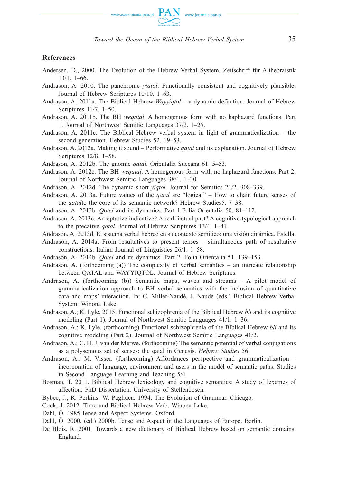

#### **References**

- Andersen, D., 2000. The Evolution of the Hebrew Verbal System. Zeitschrift für Althebraistik 13/1. 1–66.
- Andrason, A. 2010. The panchronic *yiqtol*. Functionally consistent and cognitively plausible. Journal of Hebrew Scriptures 10/10. 1–63.
- Andrason, A. 2011a. The Biblical Hebrew *Wayyiqtol* a dynamic definition. Journal of Hebrew Scriptures 11/7. 1–50.
- Andrason, A. 2011b. The BH *weqatal*. A homogenous form with no haphazard functions. Part 1. Journal of Northwest Semitic Languages 37/2. 1–25.
- Andrason, A. 2011c. The Biblical Hebrew verbal system in light of grammaticalization the second generation. Hebrew Studies 52. 19–53.
- Andrason, A. 2012a. Making it sound Performative *qatal* and its explanation. Journal of Hebrew Scriptures 12/8. 1–58.
- Andrason, A. 2012b. The gnomic *qatal*. Orientalia Suecana 61. 5–53.
- Andrason, A. 2012c. The BH *weqatal*. A homogenous form with no haphazard functions. Part 2. Journal of Northwest Semitic Languages 38/1. 1–30.
- Andrason, A. 2012d. The dynamic short *yiqtol*. Journal for Semitics 21/2. 308–339.
- Andrason, A. 2013a. Future values of the *qatal* are "logical" How to chain future senses of the *qatal*to the core of its semantic network? Hebrew Studies5. 7–38.
- Andrason, A. 2013b. *Qotel* and its dynamics. Part 1.Folia Orientalia 50. 81–112.
- Andrason, A. 2013c. An optative indicative? A real factual past? A cognitive-typological approach to the precative *qatal*. Journal of Hebrew Scriptures 13/4. 1–41.
- Andrason, A. 2013d. El sistema verbal hebreo en su contexto semítico: una visión dinámica. Estella.
- Andrason, A. 2014a. From resultatives to present tenses simultaneous path of resultative constructions. Italian Journal of Linguistics 26/1. 1–58.
- Andrason, A. 2014b. *Qotel* and its dynamics. Part 2. Folia Orientalia 51. 139–153.
- Andrason, A. (forthcoming (a)) The complexity of verbal semantics an intricate relationship between QATAL and WAYYIQTOL. Journal of Hebrew Scriptures.
- Andrason, A. (forthcoming (b)) Semantic maps, waves and streams A pilot model of grammaticalization approach to BH verbal semantics with the inclusion of quantitative data and maps' interaction. In: C. Miller-Naudé, J. Naudé (eds.) Biblical Hebrew Verbal System. Winona Lake.
- Andrason, A.; K. Lyle. 2015. Functional schizophrenia of the Biblical Hebrew *bli* and its cognitive modeling (Part 1). Journal of Northwest Semitic Languages 41/1. 1–36.
- Andrason, A.; K. Lyle. (forthcoming) Functional schizophrenia of the Biblical Hebrew *bli* and its cognitive modeling (Part 2). Journal of Northwest Semitic Languages 41/2.
- Andrason, A.; C. H. J. van der Merwe. (forthcoming) The semantic potential of verbal conjugations as a polysemous set of senses: the qatal in Genesis. *Hebrew Studies* 56.
- Andrason, A.; M. Visser. (forthcoming) Affordances perspective and grammaticalization incorporation of language, environment and users in the model of semantic paths. Studies in Second Language Learning and Teaching 5/4.
- Bosman, T. 2011. Biblical Hebrew lexicology and cognitive semantics: A study of lexemes of affection. PhD Dissertation. University of Stellenbosch.
- Bybee, J.; R. Perkins; W. Pagliuca. 1994. The Evolution of Grammar. Chicago.
- Cook, J. 2012. Time and Biblical Hebrew Verb. Winona Lake.
- Dahl, Ö. 1985.Tense and Aspect Systems. Oxford.
- Dahl, Ö. 2000. (ed.) 2000b. Tense and Aspect in the Languages of Europe. Berlin.
- De Blois, R. 2001. Towards a new dictionary of Biblical Hebrew based on semantic domains. England.